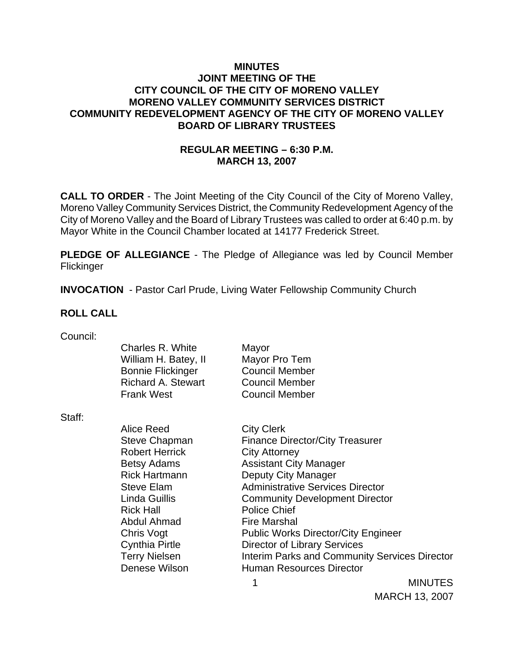## **MINUTES JOINT MEETING OF THE CITY COUNCIL OF THE CITY OF MORENO VALLEY MORENO VALLEY COMMUNITY SERVICES DISTRICT COMMUNITY REDEVELOPMENT AGENCY OF THE CITY OF MORENO VALLEY BOARD OF LIBRARY TRUSTEES**

## **REGULAR MEETING – 6:30 P.M. MARCH 13, 2007**

**CALL TO ORDER** - The Joint Meeting of the City Council of the City of Moreno Valley, Moreno Valley Community Services District, the Community Redevelopment Agency of the City of Moreno Valley and the Board of Library Trustees was called to order at 6:40 p.m. by Mayor White in the Council Chamber located at 14177 Frederick Street.

**PLEDGE OF ALLEGIANCE** - The Pledge of Allegiance was led by Council Member Flickinger

**INVOCATION** - Pastor Carl Prude, Living Water Fellowship Community Church

### **ROLL CALL**

| Council: |  |
|----------|--|
|          |  |

| Charles R. White          | Mayor                 |
|---------------------------|-----------------------|
| William H. Batey, II      | Mayor Pro Tem         |
| <b>Bonnie Flickinger</b>  | <b>Council Member</b> |
| <b>Richard A. Stewart</b> | <b>Council Member</b> |
| <b>Frank West</b>         | <b>Council Member</b> |
|                           |                       |

Staff:

Alice Reed City Clerk Steve Chapman Finance Director/City Treasurer Robert Herrick City Attorney Betsy Adams Assistant City Manager Rick Hartmann Deputy City Manager Steve Elam Administrative Services Director Linda Guillis Community Development Director Rick Hall **Police Chief** Abdul Ahmad Fire Marshal Chris Vogt Public Works Director/City Engineer Cynthia Pirtle Director of Library Services Terry Nielsen **Interim Parks and Community Services Director** Denese Wilson **Human Resources Director** 

> 1 MINUTES MARCH 13, 2007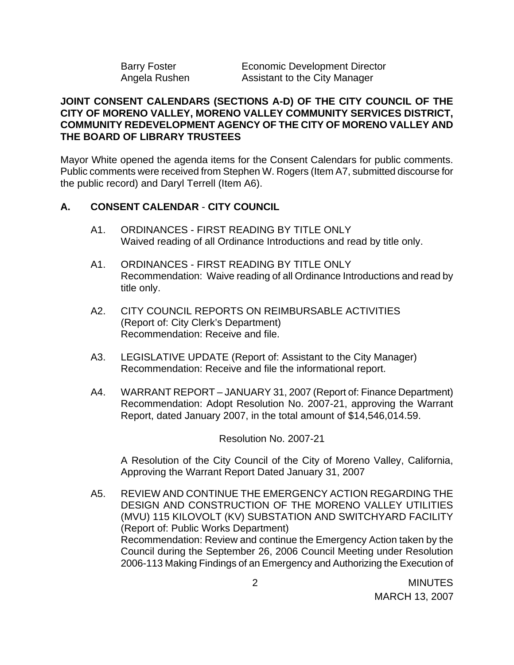| Barry Foster  | Economic I   |
|---------------|--------------|
| Angela Rushen | Assistant to |

#### Development Director b the City Manager

## **JOINT CONSENT CALENDARS (SECTIONS A-D) OF THE CITY COUNCIL OF THE CITY OF MORENO VALLEY, MORENO VALLEY COMMUNITY SERVICES DISTRICT, COMMUNITY REDEVELOPMENT AGENCY OF THE CITY OF MORENO VALLEY AND THE BOARD OF LIBRARY TRUSTEES**

Mayor White opened the agenda items for the Consent Calendars for public comments. Public comments were received from Stephen W. Rogers (Item A7, submitted discourse for the public record) and Daryl Terrell (Item A6).

## **A. CONSENT CALENDAR** - **CITY COUNCIL**

- A1. ORDINANCES FIRST READING BY TITLE ONLY Waived reading of all Ordinance Introductions and read by title only.
- A1. ORDINANCES FIRST READING BY TITLE ONLY Recommendation: Waive reading of all Ordinance Introductions and read by title only.
- A2. CITY COUNCIL REPORTS ON REIMBURSABLE ACTIVITIES (Report of: City Clerk's Department) Recommendation: Receive and file.
- A3. LEGISLATIVE UPDATE (Report of: Assistant to the City Manager) Recommendation: Receive and file the informational report.
- A4. WARRANT REPORT JANUARY 31, 2007 (Report of: Finance Department) Recommendation: Adopt Resolution No. 2007-21, approving the Warrant Report, dated January 2007, in the total amount of \$14,546,014.59.

Resolution No. 2007-21

A Resolution of the City Council of the City of Moreno Valley, California, Approving the Warrant Report Dated January 31, 2007

A5. REVIEW AND CONTINUE THE EMERGENCY ACTION REGARDING THE DESIGN AND CONSTRUCTION OF THE MORENO VALLEY UTILITIES (MVU) 115 KILOVOLT (KV) SUBSTATION AND SWITCHYARD FACILITY (Report of: Public Works Department) Recommendation: Review and continue the Emergency Action taken by the Council during the September 26, 2006 Council Meeting under Resolution 2006-113 Making Findings of an Emergency and Authorizing the Execution of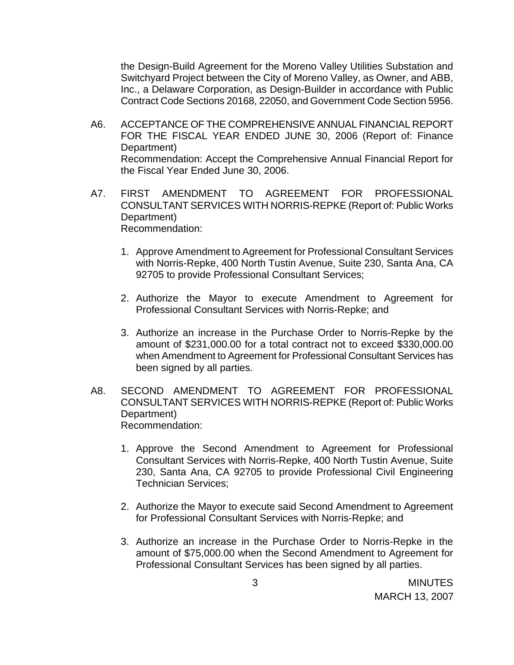the Design-Build Agreement for the Moreno Valley Utilities Substation and Switchyard Project between the City of Moreno Valley, as Owner, and ABB, Inc., a Delaware Corporation, as Design-Builder in accordance with Public Contract Code Sections 20168, 22050, and Government Code Section 5956.

- A6. ACCEPTANCE OF THE COMPREHENSIVE ANNUAL FINANCIAL REPORT FOR THE FISCAL YEAR ENDED JUNE 30, 2006 (Report of: Finance Department) Recommendation: Accept the Comprehensive Annual Financial Report for the Fiscal Year Ended June 30, 2006.
- A7. FIRST AMENDMENT TO AGREEMENT FOR PROFESSIONAL CONSULTANT SERVICES WITH NORRIS-REPKE (Report of: Public Works Department) Recommendation:
	- 1. Approve Amendment to Agreement for Professional Consultant Services with Norris-Repke, 400 North Tustin Avenue, Suite 230, Santa Ana, CA 92705 to provide Professional Consultant Services;
	- 2. Authorize the Mayor to execute Amendment to Agreement for Professional Consultant Services with Norris-Repke; and
	- 3. Authorize an increase in the Purchase Order to Norris-Repke by the amount of \$231,000.00 for a total contract not to exceed \$330,000.00 when Amendment to Agreement for Professional Consultant Services has been signed by all parties.
- A8. SECOND AMENDMENT TO AGREEMENT FOR PROFESSIONAL CONSULTANT SERVICES WITH NORRIS-REPKE (Report of: Public Works Department) Recommendation:
	- 1. Approve the Second Amendment to Agreement for Professional Consultant Services with Norris-Repke, 400 North Tustin Avenue, Suite 230, Santa Ana, CA 92705 to provide Professional Civil Engineering Technician Services;
	- 2. Authorize the Mayor to execute said Second Amendment to Agreement for Professional Consultant Services with Norris-Repke; and
	- 3. Authorize an increase in the Purchase Order to Norris-Repke in the amount of \$75,000.00 when the Second Amendment to Agreement for Professional Consultant Services has been signed by all parties.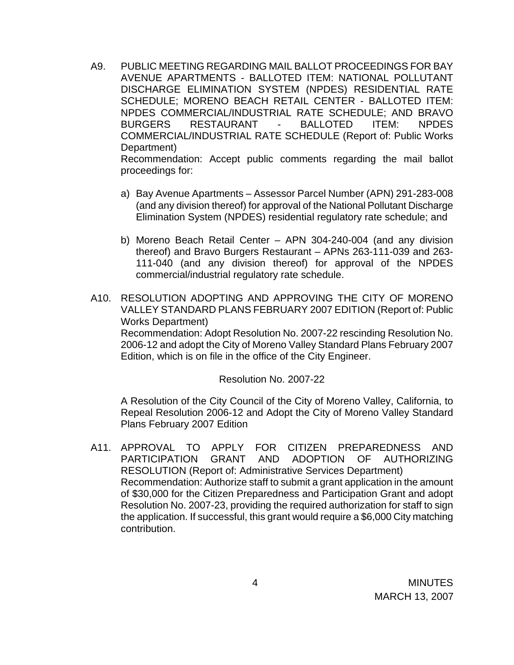- A9. PUBLIC MEETING REGARDING MAIL BALLOT PROCEEDINGS FOR BAY AVENUE APARTMENTS - BALLOTED ITEM: NATIONAL POLLUTANT DISCHARGE ELIMINATION SYSTEM (NPDES) RESIDENTIAL RATE SCHEDULE; MORENO BEACH RETAIL CENTER - BALLOTED ITEM: NPDES COMMERCIAL/INDUSTRIAL RATE SCHEDULE; AND BRAVO BURGERS RESTAURANT - BALLOTED ITEM: NPDES COMMERCIAL/INDUSTRIAL RATE SCHEDULE (Report of: Public Works Department) Recommendation: Accept public comments regarding the mail ballot proceedings for:
	-
	- a) Bay Avenue Apartments Assessor Parcel Number (APN) 291-283-008 (and any division thereof) for approval of the National Pollutant Discharge Elimination System (NPDES) residential regulatory rate schedule; and
	- b) Moreno Beach Retail Center APN 304-240-004 (and any division thereof) and Bravo Burgers Restaurant – APNs 263-111-039 and 263- 111-040 (and any division thereof) for approval of the NPDES commercial/industrial regulatory rate schedule.
- A10. RESOLUTION ADOPTING AND APPROVING THE CITY OF MORENO VALLEY STANDARD PLANS FEBRUARY 2007 EDITION (Report of: Public Works Department) Recommendation: Adopt Resolution No. 2007-22 rescinding Resolution No.

2006-12 and adopt the City of Moreno Valley Standard Plans February 2007 Edition, which is on file in the office of the City Engineer.

## Resolution No. 2007-22

 A Resolution of the City Council of the City of Moreno Valley, California, to Repeal Resolution 2006-12 and Adopt the City of Moreno Valley Standard Plans February 2007 Edition

A11. APPROVAL TO APPLY FOR CITIZEN PREPAREDNESS AND PARTICIPATION GRANT AND ADOPTION OF AUTHORIZING RESOLUTION (Report of: Administrative Services Department) Recommendation: Authorize staff to submit a grant application in the amount of \$30,000 for the Citizen Preparedness and Participation Grant and adopt Resolution No. 2007-23, providing the required authorization for staff to sign the application. If successful, this grant would require a \$6,000 City matching contribution.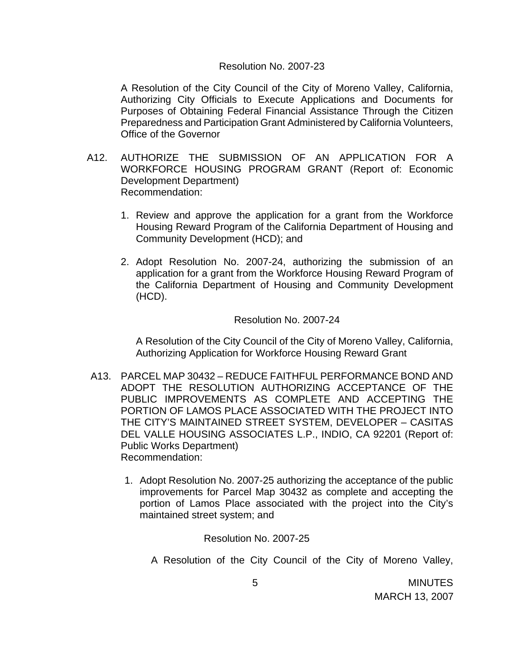#### Resolution No. 2007-23

A Resolution of the City Council of the City of Moreno Valley, California, Authorizing City Officials to Execute Applications and Documents for Purposes of Obtaining Federal Financial Assistance Through the Citizen Preparedness and Participation Grant Administered by California Volunteers, Office of the Governor

- A12. AUTHORIZE THE SUBMISSION OF AN APPLICATION FOR A WORKFORCE HOUSING PROGRAM GRANT (Report of: Economic Development Department) Recommendation:
	- 1. Review and approve the application for a grant from the Workforce Housing Reward Program of the California Department of Housing and Community Development (HCD); and
	- 2. Adopt Resolution No. 2007-24, authorizing the submission of an application for a grant from the Workforce Housing Reward Program of the California Department of Housing and Community Development (HCD).

#### Resolution No. 2007-24

A Resolution of the City Council of the City of Moreno Valley, California, Authorizing Application for Workforce Housing Reward Grant

- A13. PARCEL MAP 30432 REDUCE FAITHFUL PERFORMANCE BOND AND ADOPT THE RESOLUTION AUTHORIZING ACCEPTANCE OF THE PUBLIC IMPROVEMENTS AS COMPLETE AND ACCEPTING THE PORTION OF LAMOS PLACE ASSOCIATED WITH THE PROJECT INTO THE CITY'S MAINTAINED STREET SYSTEM, DEVELOPER – CASITAS DEL VALLE HOUSING ASSOCIATES L.P., INDIO, CA 92201 (Report of: Public Works Department) Recommendation:
	- 1. Adopt Resolution No. 2007-25 authorizing the acceptance of the public improvements for Parcel Map 30432 as complete and accepting the portion of Lamos Place associated with the project into the City's maintained street system; and

#### Resolution No. 2007-25

A Resolution of the City Council of the City of Moreno Valley,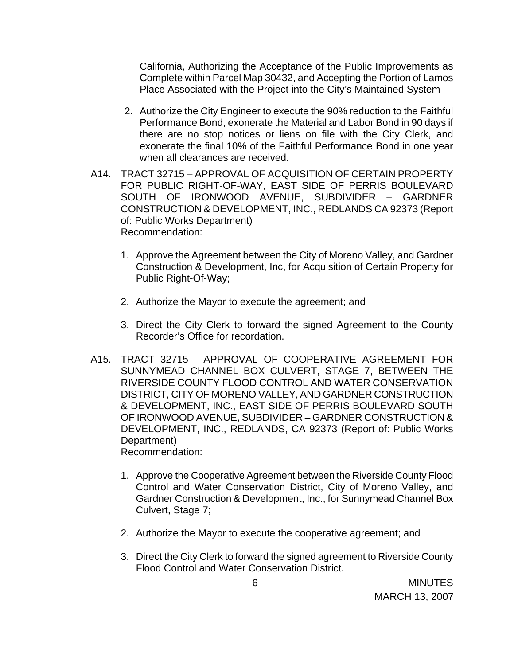California, Authorizing the Acceptance of the Public Improvements as Complete within Parcel Map 30432, and Accepting the Portion of Lamos Place Associated with the Project into the City's Maintained System

- 2. Authorize the City Engineer to execute the 90% reduction to the Faithful Performance Bond, exonerate the Material and Labor Bond in 90 days if there are no stop notices or liens on file with the City Clerk, and exonerate the final 10% of the Faithful Performance Bond in one year when all clearances are received.
- A14. TRACT 32715 APPROVAL OF ACQUISITION OF CERTAIN PROPERTY FOR PUBLIC RIGHT-OF-WAY, EAST SIDE OF PERRIS BOULEVARD SOUTH OF IRONWOOD AVENUE, SUBDIVIDER – GARDNER CONSTRUCTION & DEVELOPMENT, INC., REDLANDS CA 92373 (Report of: Public Works Department) Recommendation:
	- 1. Approve the Agreement between the City of Moreno Valley, and Gardner Construction & Development, Inc, for Acquisition of Certain Property for Public Right-Of-Way;
	- 2. Authorize the Mayor to execute the agreement; and
	- 3. Direct the City Clerk to forward the signed Agreement to the County Recorder's Office for recordation.
- A15. TRACT 32715 APPROVAL OF COOPERATIVE AGREEMENT FOR SUNNYMEAD CHANNEL BOX CULVERT, STAGE 7, BETWEEN THE RIVERSIDE COUNTY FLOOD CONTROL AND WATER CONSERVATION DISTRICT, CITY OF MORENO VALLEY, AND GARDNER CONSTRUCTION & DEVELOPMENT, INC., EAST SIDE OF PERRIS BOULEVARD SOUTH OF IRONWOOD AVENUE, SUBDIVIDER – GARDNER CONSTRUCTION & DEVELOPMENT, INC., REDLANDS, CA 92373 (Report of: Public Works Department) Recommendation:
	- 1. Approve the Cooperative Agreement between the Riverside County Flood Control and Water Conservation District, City of Moreno Valley, and Gardner Construction & Development, Inc., for Sunnymead Channel Box Culvert, Stage 7;
	- 2. Authorize the Mayor to execute the cooperative agreement; and
	- 3. Direct the City Clerk to forward the signed agreement to Riverside County Flood Control and Water Conservation District.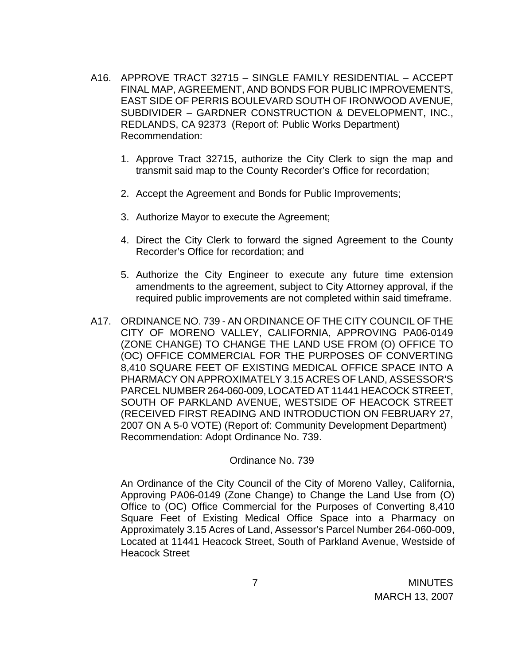- A16. APPROVE TRACT 32715 SINGLE FAMILY RESIDENTIAL ACCEPT FINAL MAP, AGREEMENT, AND BONDS FOR PUBLIC IMPROVEMENTS, EAST SIDE OF PERRIS BOULEVARD SOUTH OF IRONWOOD AVENUE, SUBDIVIDER – GARDNER CONSTRUCTION & DEVELOPMENT, INC., REDLANDS, CA 92373 (Report of: Public Works Department) Recommendation:
	- 1. Approve Tract 32715, authorize the City Clerk to sign the map and transmit said map to the County Recorder's Office for recordation;
	- 2. Accept the Agreement and Bonds for Public Improvements;
	- 3. Authorize Mayor to execute the Agreement;
	- 4. Direct the City Clerk to forward the signed Agreement to the County Recorder's Office for recordation; and
	- 5. Authorize the City Engineer to execute any future time extension amendments to the agreement, subject to City Attorney approval, if the required public improvements are not completed within said timeframe.
- A17. ORDINANCE NO. 739 AN ORDINANCE OF THE CITY COUNCIL OF THE CITY OF MORENO VALLEY, CALIFORNIA, APPROVING PA06-0149 (ZONE CHANGE) TO CHANGE THE LAND USE FROM (O) OFFICE TO (OC) OFFICE COMMERCIAL FOR THE PURPOSES OF CONVERTING 8,410 SQUARE FEET OF EXISTING MEDICAL OFFICE SPACE INTO A PHARMACY ON APPROXIMATELY 3.15 ACRES OF LAND, ASSESSOR'S PARCEL NUMBER 264-060-009, LOCATED AT 11441 HEACOCK STREET, SOUTH OF PARKLAND AVENUE, WESTSIDE OF HEACOCK STREET (RECEIVED FIRST READING AND INTRODUCTION ON FEBRUARY 27, 2007 ON A 5-0 VOTE) (Report of: Community Development Department) Recommendation: Adopt Ordinance No. 739.

Ordinance No. 739

An Ordinance of the City Council of the City of Moreno Valley, California, Approving PA06-0149 (Zone Change) to Change the Land Use from (O) Office to (OC) Office Commercial for the Purposes of Converting 8,410 Square Feet of Existing Medical Office Space into a Pharmacy on Approximately 3.15 Acres of Land, Assessor's Parcel Number 264-060-009, Located at 11441 Heacock Street, South of Parkland Avenue, Westside of Heacock Street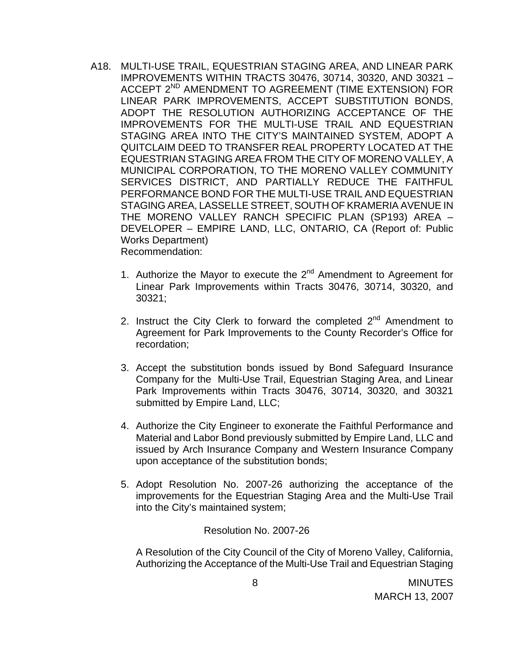- A18. MULTI-USE TRAIL, EQUESTRIAN STAGING AREA, AND LINEAR PARK IMPROVEMENTS WITHIN TRACTS 30476, 30714, 30320, AND 30321 – ACCEPT 2<sup>ND</sup> AMENDMENT TO AGREEMENT (TIME EXTENSION) FOR LINEAR PARK IMPROVEMENTS, ACCEPT SUBSTITUTION BONDS, ADOPT THE RESOLUTION AUTHORIZING ACCEPTANCE OF THE IMPROVEMENTS FOR THE MULTI-USE TRAIL AND EQUESTRIAN STAGING AREA INTO THE CITY'S MAINTAINED SYSTEM, ADOPT A QUITCLAIM DEED TO TRANSFER REAL PROPERTY LOCATED AT THE EQUESTRIAN STAGING AREA FROM THE CITY OF MORENO VALLEY, A MUNICIPAL CORPORATION, TO THE MORENO VALLEY COMMUNITY SERVICES DISTRICT, AND PARTIALLY REDUCE THE FAITHFUL PERFORMANCE BOND FOR THE MULTI-USE TRAIL AND EQUESTRIAN STAGING AREA, LASSELLE STREET, SOUTH OF KRAMERIA AVENUE IN THE MORENO VALLEY RANCH SPECIFIC PLAN (SP193) AREA – DEVELOPER – EMPIRE LAND, LLC, ONTARIO, CA (Report of: Public Works Department) Recommendation:
	- 1. Authorize the Mayor to execute the  $2^{nd}$  Amendment to Agreement for Linear Park Improvements within Tracts 30476, 30714, 30320, and 30321;
	- 2. Instruct the City Clerk to forward the completed  $2^{nd}$  Amendment to Agreement for Park Improvements to the County Recorder's Office for recordation;
	- 3. Accept the substitution bonds issued by Bond Safeguard Insurance Company for the Multi-Use Trail, Equestrian Staging Area, and Linear Park Improvements within Tracts 30476, 30714, 30320, and 30321 submitted by Empire Land, LLC;
	- 4. Authorize the City Engineer to exonerate the Faithful Performance and Material and Labor Bond previously submitted by Empire Land, LLC and issued by Arch Insurance Company and Western Insurance Company upon acceptance of the substitution bonds;
	- 5. Adopt Resolution No. 2007-26 authorizing the acceptance of the improvements for the Equestrian Staging Area and the Multi-Use Trail into the City's maintained system;

Resolution No. 2007-26

A Resolution of the City Council of the City of Moreno Valley, California, Authorizing the Acceptance of the Multi-Use Trail and Equestrian Staging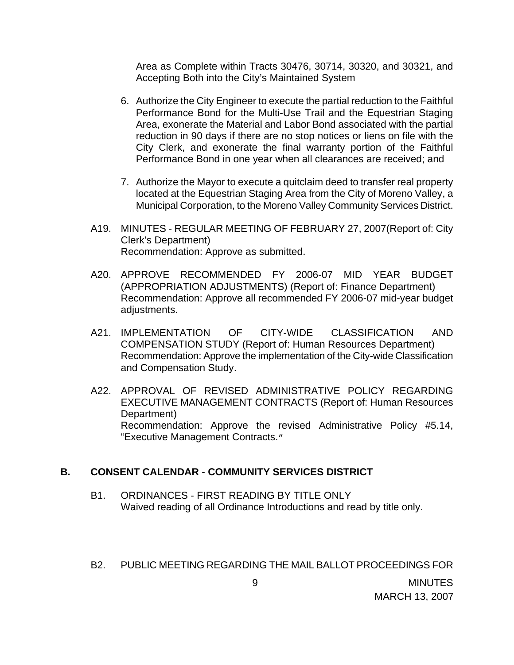Area as Complete within Tracts 30476, 30714, 30320, and 30321, and Accepting Both into the City's Maintained System

- 6. Authorize the City Engineer to execute the partial reduction to the Faithful Performance Bond for the Multi-Use Trail and the Equestrian Staging Area, exonerate the Material and Labor Bond associated with the partial reduction in 90 days if there are no stop notices or liens on file with the City Clerk, and exonerate the final warranty portion of the Faithful Performance Bond in one year when all clearances are received; and
- 7. Authorize the Mayor to execute a quitclaim deed to transfer real property located at the Equestrian Staging Area from the City of Moreno Valley, a Municipal Corporation, to the Moreno Valley Community Services District.
- A19. MINUTES REGULAR MEETING OF FEBRUARY 27, 2007(Report of: City Clerk's Department) Recommendation: Approve as submitted.
- A20. APPROVE RECOMMENDED FY 2006-07 MID YEAR BUDGET (APPROPRIATION ADJUSTMENTS) (Report of: Finance Department) Recommendation: Approve all recommended FY 2006-07 mid-year budget adjustments.
- A21. IMPLEMENTATION OF CITY-WIDE CLASSIFICATION AND COMPENSATION STUDY (Report of: Human Resources Department) Recommendation: Approve the implementation of the City-wide Classification and Compensation Study.
- A22. APPROVAL OF REVISED ADMINISTRATIVE POLICY REGARDING EXECUTIVE MANAGEMENT CONTRACTS (Report of: Human Resources Department) Recommendation: Approve the revised Administrative Policy #5.14, "Executive Management Contracts."

## **B. CONSENT CALENDAR** - **COMMUNITY SERVICES DISTRICT**

B1. ORDINANCES - FIRST READING BY TITLE ONLY Waived reading of all Ordinance Introductions and read by title only.

## B2. PUBLIC MEETING REGARDING THE MAIL BALLOT PROCEEDINGS FOR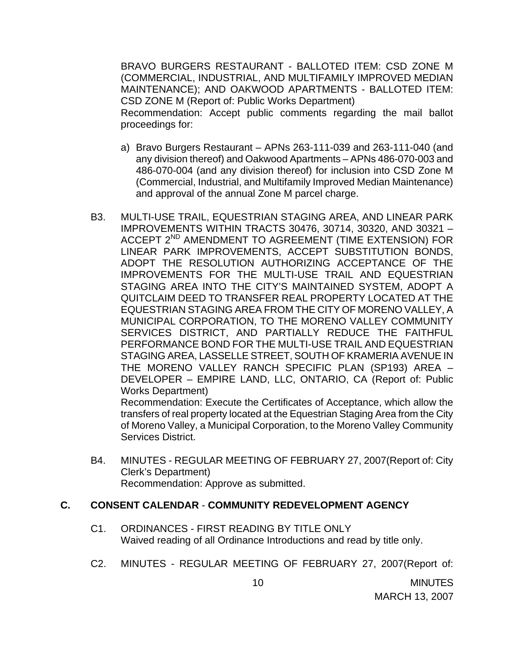BRAVO BURGERS RESTAURANT - BALLOTED ITEM: CSD ZONE M (COMMERCIAL, INDUSTRIAL, AND MULTIFAMILY IMPROVED MEDIAN MAINTENANCE); AND OAKWOOD APARTMENTS - BALLOTED ITEM: CSD ZONE M (Report of: Public Works Department) Recommendation: Accept public comments regarding the mail ballot proceedings for:

- a) Bravo Burgers Restaurant APNs 263-111-039 and 263-111-040 (and any division thereof) and Oakwood Apartments – APNs 486-070-003 and 486-070-004 (and any division thereof) for inclusion into CSD Zone M (Commercial, Industrial, and Multifamily Improved Median Maintenance) and approval of the annual Zone M parcel charge.
- B3. MULTI-USE TRAIL, EQUESTRIAN STAGING AREA, AND LINEAR PARK IMPROVEMENTS WITHIN TRACTS 30476, 30714, 30320, AND 30321 – ACCEPT 2<sup>ND</sup> AMENDMENT TO AGREEMENT (TIME EXTENSION) FOR LINEAR PARK IMPROVEMENTS, ACCEPT SUBSTITUTION BONDS, ADOPT THE RESOLUTION AUTHORIZING ACCEPTANCE OF THE IMPROVEMENTS FOR THE MULTI-USE TRAIL AND EQUESTRIAN STAGING AREA INTO THE CITY'S MAINTAINED SYSTEM, ADOPT A QUITCLAIM DEED TO TRANSFER REAL PROPERTY LOCATED AT THE EQUESTRIAN STAGING AREA FROM THE CITY OF MORENO VALLEY, A MUNICIPAL CORPORATION, TO THE MORENO VALLEY COMMUNITY SERVICES DISTRICT, AND PARTIALLY REDUCE THE FAITHFUL PERFORMANCE BOND FOR THE MULTI-USE TRAIL AND EQUESTRIAN STAGING AREA, LASSELLE STREET, SOUTH OF KRAMERIA AVENUE IN THE MORENO VALLEY RANCH SPECIFIC PLAN (SP193) AREA – DEVELOPER – EMPIRE LAND, LLC, ONTARIO, CA (Report of: Public Works Department)

 Recommendation: Execute the Certificates of Acceptance, which allow the transfers of real property located at the Equestrian Staging Area from the City of Moreno Valley, a Municipal Corporation, to the Moreno Valley Community Services District.

B4. MINUTES - REGULAR MEETING OF FEBRUARY 27, 2007(Report of: City Clerk's Department) Recommendation: Approve as submitted.

## **C. CONSENT CALENDAR** - **COMMUNITY REDEVELOPMENT AGENCY**

- C1. ORDINANCES FIRST READING BY TITLE ONLY Waived reading of all Ordinance Introductions and read by title only.
- C2. MINUTES REGULAR MEETING OF FEBRUARY 27, 2007(Report of: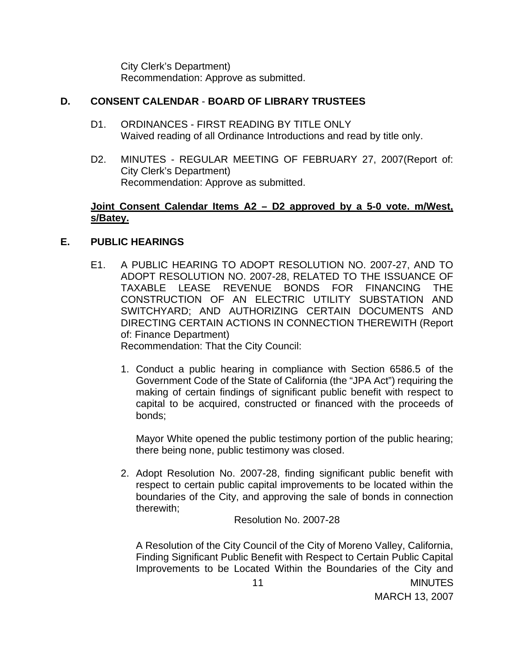City Clerk's Department) Recommendation: Approve as submitted.

## **D. CONSENT CALENDAR** - **BOARD OF LIBRARY TRUSTEES**

- D1. ORDINANCES FIRST READING BY TITLE ONLY Waived reading of all Ordinance Introductions and read by title only.
- D2. MINUTES REGULAR MEETING OF FEBRUARY 27, 2007(Report of: City Clerk's Department) Recommendation: Approve as submitted.

## **Joint Consent Calendar Items A2 – D2 approved by a 5-0 vote. m/West, s/Batey.**

## **E. PUBLIC HEARINGS**

E1. A PUBLIC HEARING TO ADOPT RESOLUTION NO. 2007-27, AND TO ADOPT RESOLUTION NO. 2007-28, RELATED TO THE ISSUANCE OF TAXABLE LEASE REVENUE BONDS FOR FINANCING THE CONSTRUCTION OF AN ELECTRIC UTILITY SUBSTATION AND SWITCHYARD; AND AUTHORIZING CERTAIN DOCUMENTS AND DIRECTING CERTAIN ACTIONS IN CONNECTION THEREWITH (Report of: Finance Department)

Recommendation: That the City Council:

1. Conduct a public hearing in compliance with Section 6586.5 of the Government Code of the State of California (the "JPA Act") requiring the making of certain findings of significant public benefit with respect to capital to be acquired, constructed or financed with the proceeds of bonds;

Mayor White opened the public testimony portion of the public hearing; there being none, public testimony was closed.

2. Adopt Resolution No. 2007-28, finding significant public benefit with respect to certain public capital improvements to be located within the boundaries of the City, and approving the sale of bonds in connection therewith;

Resolution No. 2007-28

 11 MINUTES A Resolution of the City Council of the City of Moreno Valley, California, Finding Significant Public Benefit with Respect to Certain Public Capital Improvements to be Located Within the Boundaries of the City and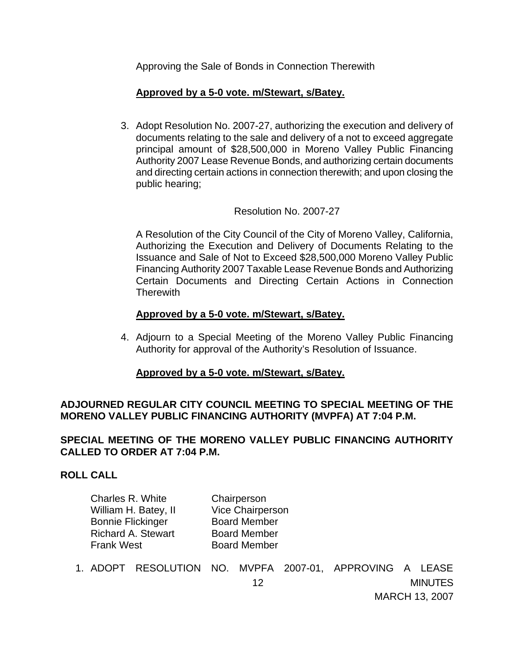Approving the Sale of Bonds in Connection Therewith

## **Approved by a 5-0 vote. m/Stewart, s/Batey.**

3. Adopt Resolution No. 2007-27, authorizing the execution and delivery of documents relating to the sale and delivery of a not to exceed aggregate principal amount of \$28,500,000 in Moreno Valley Public Financing Authority 2007 Lease Revenue Bonds, and authorizing certain documents and directing certain actions in connection therewith; and upon closing the public hearing;

### Resolution No. 2007-27

A Resolution of the City Council of the City of Moreno Valley, California, Authorizing the Execution and Delivery of Documents Relating to the Issuance and Sale of Not to Exceed \$28,500,000 Moreno Valley Public Financing Authority 2007 Taxable Lease Revenue Bonds and Authorizing Certain Documents and Directing Certain Actions in Connection **Therewith** 

### **Approved by a 5-0 vote. m/Stewart, s/Batey.**

4. Adjourn to a Special Meeting of the Moreno Valley Public Financing Authority for approval of the Authority's Resolution of Issuance.

## **Approved by a 5-0 vote. m/Stewart, s/Batey.**

## **ADJOURNED REGULAR CITY COUNCIL MEETING TO SPECIAL MEETING OF THE MORENO VALLEY PUBLIC FINANCING AUTHORITY (MVPFA) AT 7:04 P.M.**

## **SPECIAL MEETING OF THE MORENO VALLEY PUBLIC FINANCING AUTHORITY CALLED TO ORDER AT 7:04 P.M.**

#### **ROLL CALL**

| Charles R. White          | Chairperson         |
|---------------------------|---------------------|
| William H. Batey, II      | Vice Chairperson    |
| <b>Bonnie Flickinger</b>  | <b>Board Member</b> |
| <b>Richard A. Stewart</b> | <b>Board Member</b> |
| <b>Frank West</b>         | <b>Board Member</b> |

1. ADOPT RESOLUTION NO. MVPFA 2007-01, APPROVING A LEASE

MARCH 13, 2007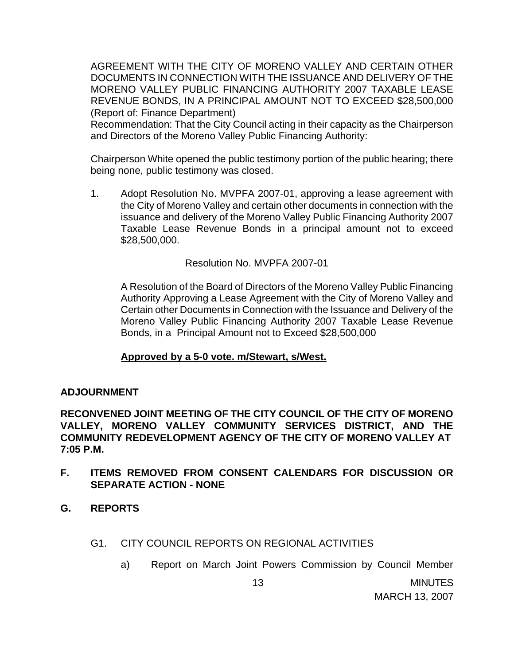AGREEMENT WITH THE CITY OF MORENO VALLEY AND CERTAIN OTHER DOCUMENTS IN CONNECTION WITH THE ISSUANCE AND DELIVERY OF THE MORENO VALLEY PUBLIC FINANCING AUTHORITY 2007 TAXABLE LEASE REVENUE BONDS, IN A PRINCIPAL AMOUNT NOT TO EXCEED \$28,500,000 (Report of: Finance Department)

 Recommendation: That the City Council acting in their capacity as the Chairperson and Directors of the Moreno Valley Public Financing Authority:

Chairperson White opened the public testimony portion of the public hearing; there being none, public testimony was closed.

1. Adopt Resolution No. MVPFA 2007-01, approving a lease agreement with the City of Moreno Valley and certain other documents in connection with the issuance and delivery of the Moreno Valley Public Financing Authority 2007 Taxable Lease Revenue Bonds in a principal amount not to exceed \$28,500,000.

Resolution No. MVPFA 2007-01

A Resolution of the Board of Directors of the Moreno Valley Public Financing Authority Approving a Lease Agreement with the City of Moreno Valley and Certain other Documents in Connection with the Issuance and Delivery of the Moreno Valley Public Financing Authority 2007 Taxable Lease Revenue Bonds, in a Principal Amount not to Exceed \$28,500,000

## **Approved by a 5-0 vote. m/Stewart, s/West.**

## **ADJOURNMENT**

**RECONVENED JOINT MEETING OF THE CITY COUNCIL OF THE CITY OF MORENO VALLEY, MORENO VALLEY COMMUNITY SERVICES DISTRICT, AND THE COMMUNITY REDEVELOPMENT AGENCY OF THE CITY OF MORENO VALLEY AT 7:05 P.M.** 

- **F. ITEMS REMOVED FROM CONSENT CALENDARS FOR DISCUSSION OR SEPARATE ACTION - NONE**
- **G. REPORTS**
	- G1. CITY COUNCIL REPORTS ON REGIONAL ACTIVITIES
		- a) Report on March Joint Powers Commission by Council Member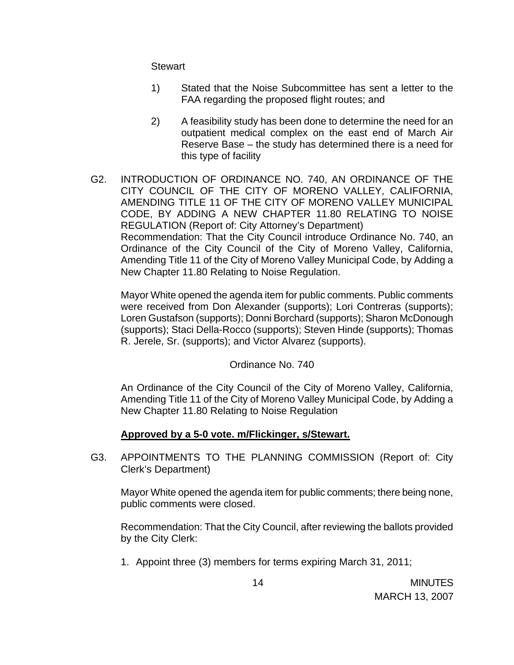**Stewart** 

- 1) Stated that the Noise Subcommittee has sent a letter to the FAA regarding the proposed flight routes; and
- 2) A feasibility study has been done to determine the need for an outpatient medical complex on the east end of March Air Reserve Base – the study has determined there is a need for this type of facility
- G2. INTRODUCTION OF ORDINANCE NO. 740, AN ORDINANCE OF THE CITY COUNCIL OF THE CITY OF MORENO VALLEY, CALIFORNIA, AMENDING TITLE 11 OF THE CITY OF MORENO VALLEY MUNICIPAL CODE, BY ADDING A NEW CHAPTER 11.80 RELATING TO NOISE REGULATION (Report of: City Attorney's Department) Recommendation: That the City Council introduce Ordinance No. 740, an Ordinance of the City Council of the City of Moreno Valley, California, Amending Title 11 of the City of Moreno Valley Municipal Code, by Adding a New Chapter 11.80 Relating to Noise Regulation.

 Mayor White opened the agenda item for public comments. Public comments were received from Don Alexander (supports); Lori Contreras (supports); Loren Gustafson (supports); Donni Borchard (supports); Sharon McDonough (supports); Staci Della-Rocco (supports); Steven Hinde (supports); Thomas R. Jerele, Sr. (supports); and Victor Alvarez (supports).

## Ordinance No. 740

An Ordinance of the City Council of the City of Moreno Valley, California, Amending Title 11 of the City of Moreno Valley Municipal Code, by Adding a New Chapter 11.80 Relating to Noise Regulation

## **Approved by a 5-0 vote. m/Flickinger, s/Stewart.**

G3. APPOINTMENTS TO THE PLANNING COMMISSION (Report of: City Clerk's Department)

 Mayor White opened the agenda item for public comments; there being none, public comments were closed.

 Recommendation: That the City Council, after reviewing the ballots provided by the City Clerk:

1. Appoint three (3) members for terms expiring March 31, 2011;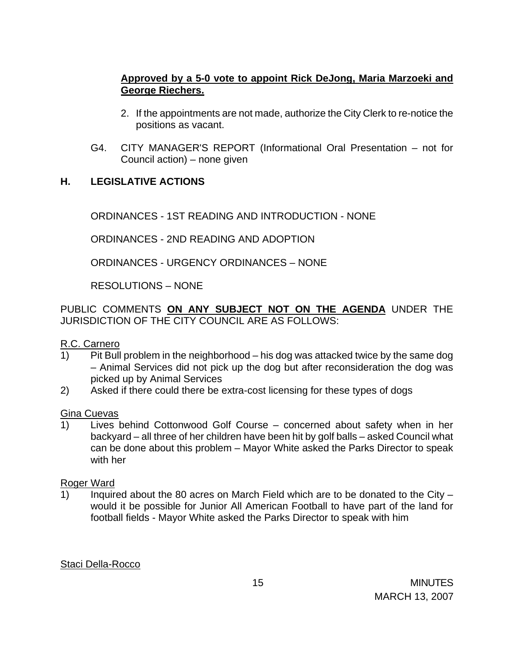## **Approved by a 5-0 vote to appoint Rick DeJong, Maria Marzoeki and George Riechers.**

- 2. If the appointments are not made, authorize the City Clerk to re-notice the positions as vacant.
- G4. CITY MANAGER'S REPORT (Informational Oral Presentation not for Council action) – none given

## **H. LEGISLATIVE ACTIONS**

ORDINANCES - 1ST READING AND INTRODUCTION - NONE

ORDINANCES - 2ND READING AND ADOPTION

ORDINANCES - URGENCY ORDINANCES – NONE

RESOLUTIONS – NONE

PUBLIC COMMENTS **ON ANY SUBJECT NOT ON THE AGENDA** UNDER THE JURISDICTION OF THE CITY COUNCIL ARE AS FOLLOWS:

## R.C. Carnero

- 1) Pit Bull problem in the neighborhood his dog was attacked twice by the same dog – Animal Services did not pick up the dog but after reconsideration the dog was picked up by Animal Services
- 2) Asked if there could there be extra-cost licensing for these types of dogs

## Gina Cuevas

1) Lives behind Cottonwood Golf Course – concerned about safety when in her backyard – all three of her children have been hit by golf balls – asked Council what can be done about this problem – Mayor White asked the Parks Director to speak with her

## Roger Ward

1) Inquired about the 80 acres on March Field which are to be donated to the City  $$ would it be possible for Junior All American Football to have part of the land for football fields - Mayor White asked the Parks Director to speak with him

## Staci Della-Rocco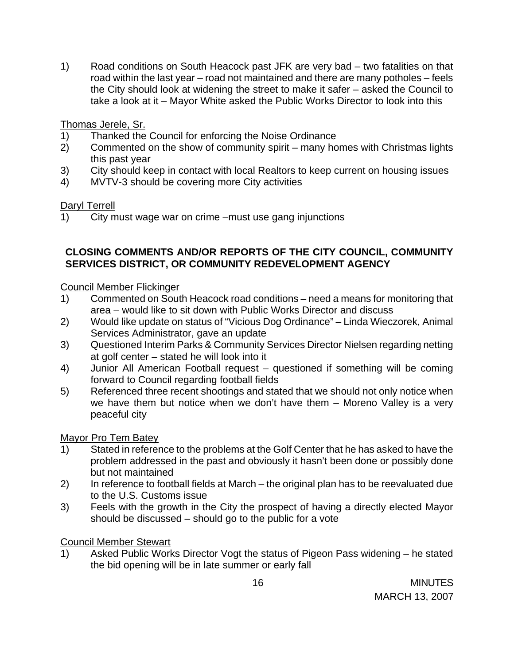1) Road conditions on South Heacock past JFK are very bad – two fatalities on that road within the last year – road not maintained and there are many potholes – feels the City should look at widening the street to make it safer – asked the Council to take a look at it – Mayor White asked the Public Works Director to look into this

# Thomas Jerele, Sr.

- 1) Thanked the Council for enforcing the Noise Ordinance
- 2) Commented on the show of community spirit many homes with Christmas lights this past year
- 3) City should keep in contact with local Realtors to keep current on housing issues
- 4) MVTV-3 should be covering more City activities

# Daryl Terrell

1) City must wage war on crime –must use gang injunctions

## **CLOSING COMMENTS AND/OR REPORTS OF THE CITY COUNCIL, COMMUNITY SERVICES DISTRICT, OR COMMUNITY REDEVELOPMENT AGENCY**

# Council Member Flickinger

- 1) Commented on South Heacock road conditions need a means for monitoring that area – would like to sit down with Public Works Director and discuss
- 2) Would like update on status of "Vicious Dog Ordinance" Linda Wieczorek, Animal Services Administrator, gave an update
- 3) Questioned Interim Parks & Community Services Director Nielsen regarding netting at golf center – stated he will look into it
- 4) Junior All American Football request questioned if something will be coming forward to Council regarding football fields
- 5) Referenced three recent shootings and stated that we should not only notice when we have them but notice when we don't have them – Moreno Valley is a very peaceful city

## Mayor Pro Tem Batey

- 1) Stated in reference to the problems at the Golf Center that he has asked to have the problem addressed in the past and obviously it hasn't been done or possibly done but not maintained
- 2) In reference to football fields at March the original plan has to be reevaluated due to the U.S. Customs issue
- 3) Feels with the growth in the City the prospect of having a directly elected Mayor should be discussed – should go to the public for a vote

# Council Member Stewart

1) Asked Public Works Director Vogt the status of Pigeon Pass widening – he stated the bid opening will be in late summer or early fall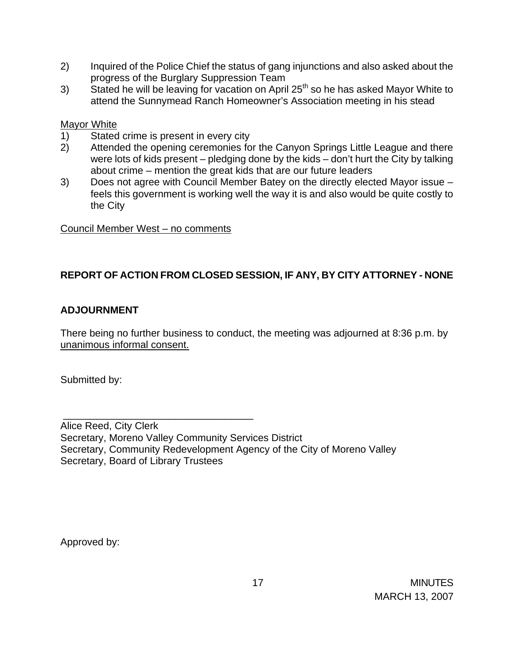- 2) Inquired of the Police Chief the status of gang injunctions and also asked about the progress of the Burglary Suppression Team
- 3) Stated he will be leaving for vacation on April  $25<sup>th</sup>$  so he has asked Mayor White to attend the Sunnymead Ranch Homeowner's Association meeting in his stead

## Mayor White

- 1) Stated crime is present in every city
- 2) Attended the opening ceremonies for the Canyon Springs Little League and there were lots of kids present – pledging done by the kids – don't hurt the City by talking about crime – mention the great kids that are our future leaders
- 3) Does not agree with Council Member Batey on the directly elected Mayor issue feels this government is working well the way it is and also would be quite costly to the City

## Council Member West – no comments

# **REPORT OF ACTION FROM CLOSED SESSION, IF ANY, BY CITY ATTORNEY - NONE**

## **ADJOURNMENT**

There being no further business to conduct, the meeting was adjourned at 8:36 p.m. by unanimous informal consent.

Submitted by:

 \_\_\_\_\_\_\_\_\_\_\_\_\_\_\_\_\_\_\_\_\_\_\_\_\_\_\_\_\_\_\_\_\_\_ Alice Reed, City Clerk Secretary, Moreno Valley Community Services District Secretary, Community Redevelopment Agency of the City of Moreno Valley Secretary, Board of Library Trustees

Approved by: